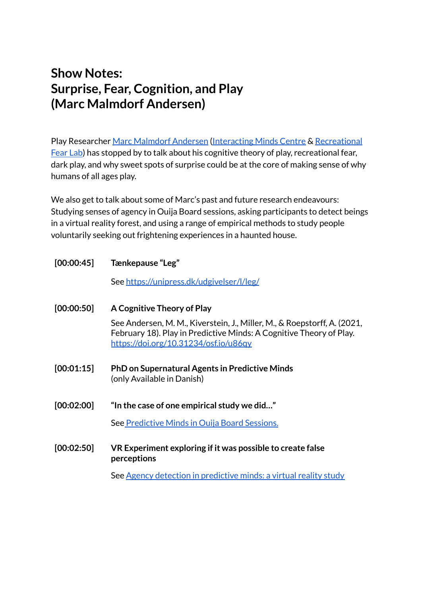# **Show Notes: Surprise, Fear, Cognition, and Play (Marc Malmdorf Andersen)**

Play Researcher Marc [Malmdorf](https://pure.au.dk/portal/en/persons/marc-andersen(67f068d6-a98a-4f2b-840c-53b8855192de).html) Andersen [\(Interacting](https://interactingminds.au.dk/) Minds Centre & [Recreational](https://cc.au.dk/en/recreational-fear-lab/) [Fear](https://cc.au.dk/en/recreational-fear-lab/) Lab) has stopped by to talk about his cognitive theory of play, recreational fear, dark play, and why sweet spots of surprise could be at the core of making sense of why humans of all ages play.

We also get to talk about some of Marc's past and future research endeavours: Studying senses of agency in Ouija Board sessions, asking participants to detect beings in a virtual reality forest, and using a range of empirical methods to study people voluntarily seeking out frightening experiences in a haunted house.

| [00:00:45] | Tænkepause "Leg"                                                                                                                                                                         |
|------------|------------------------------------------------------------------------------------------------------------------------------------------------------------------------------------------|
|            | See https://unipress.dk/udgivelser/l/leg/                                                                                                                                                |
| [00:00:50] | A Cognitive Theory of Play                                                                                                                                                               |
|            | See Andersen, M. M., Kiverstein, J., Miller, M., & Roepstorff, A. (2021,<br>February 18). Play in Predictive Minds: A Cognitive Theory of Play.<br>https://doi.org/10.31234/osf.io/u86gy |
| [00:01:15] | <b>PhD on Supernatural Agents in Predictive Minds</b><br>(only Available in Danish)                                                                                                      |
| [00:02:00] | "In the case of one empirical study we did"                                                                                                                                              |
|            | See Predictive Minds in Ouija Board Sessions.                                                                                                                                            |
| [00:02:50] | VR Experiment exploring if it was possible to create false<br>perceptions                                                                                                                |
|            | See Agency detection in predictive minds: a virtual reality study                                                                                                                        |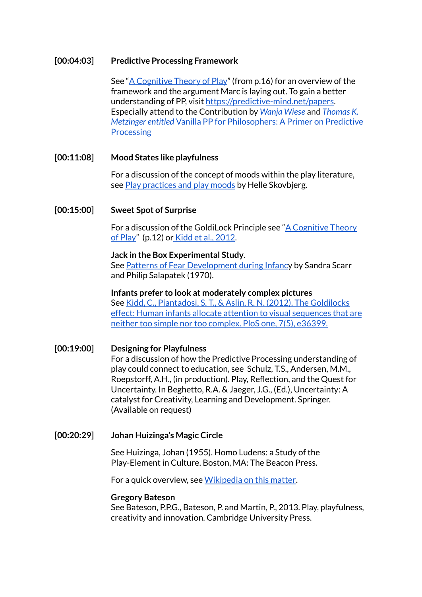#### **[00:04:03] Predictive Processing Framework**

See "A [Cognitive](https://doi.org/10.31234/osf.io/u86qy) Theory of Play" (from p.16) for an overview of the framework and the argument Marc is laying out. To gain a better understanding of PP, visit [https://predictive-mind.net/papers.](https://predictive-mind.net/papers) Especially attend to the Contribution by *[Wanja](https://predictive-mind.net/ppp-contributors/Wanja_Wiese) Wiese* and *[Thomas](https://predictive-mind.net/ppp-contributors/Thomas_K_Metzinger) K. [Metzinger](https://predictive-mind.net/ppp-contributors/Thomas_K_Metzinger) entitled* Vanilla PP for [Philosophers:](https://predictive-mind.net/papers/vanilla-pp-for-philosophers-a-primer-on-predictive-processing) A Primer on Predictive [Processing](https://predictive-mind.net/papers/vanilla-pp-for-philosophers-a-primer-on-predictive-processing)

#### **[00:11:08] Mood States like playfulness**

For a discussion of the concept of moods within the play literature, see Play [practices](https://www.tandfonline.com/doi/abs/10.1080/21594937.2013.805650) and play moods by Helle Skovbjerg.

#### **[00:15:00] Sweet Spot of Surprise**

For a discussion of the GoldiLock Principle see "A [Cognitive](https://doi.org/10.31234/osf.io/u86qy) Theory of [Play](https://doi.org/10.31234/osf.io/u86qy)" (p.12) or Kidd et al., [2012](https://journals.plos.org/plosone/article?id=10.1371/journal.pone.0036399).

#### **Jack in the Box Experimental Study**.

See Patterns of Fear [Development](https://www.jstor.org/stable/23082747?casa_token=QzIO3C04Fs4AAAAA%3A4hgvfnP4IHgY7DNAqTG1FvzdpCPDrh9NTxCAHRzIL1rVdqNlj2Q88xLbbELZWUk7N0fEh0dzdGAjb1PkzLYMzGWPof2Sno_8clPVBNcByVuZ3je6DQGa&seq=1#metadata_info_tab_contents) during Infancy by Sandra Scarr and Philip Salapatek (1970).

**Infants prefer to look at moderately complex pictures** See Kidd, C., [Piantadosi,](https://journals.plos.org/plosone/article?id=10.1371/journal.pone.0036399) S. T., & Aslin, R. N. (2012). The Goldilocks effect: Human infants allocate attention to visual [sequences](https://journals.plos.org/plosone/article?id=10.1371/journal.pone.0036399) that are neither too simple nor too [complex.](https://journals.plos.org/plosone/article?id=10.1371/journal.pone.0036399) PloS one, 7(5), e36399.

**[00:19:00] Designing for Playfulness** For a discussion of how the Predictive Processing understanding of play could connect to education, see Schulz, T.S., Andersen, M.M., Roepstorff, A.H., (in production). Play, Reflection, and the Quest for Uncertainty. In Beghetto, R.A. & Jaeger, J.G., (Ed.), Uncertainty: A catalyst for Creativity, Learning and Development. Springer. (Available on request)

### **[00:20:29] Johan Huizinga's Magic Circle**

See Huizinga, Johan (1955). Homo Ludens: a Study of the Play-Element in Culture. Boston, MA: The Beacon Press.

For a quick overview, see [Wikipedia](https://en.wikipedia.org/wiki/Magic_circle_(virtual_worlds)) on this matter.

#### **Gregory Bateson**

See Bateson, P.P.G., Bateson, P. and Martin, P., 2013. Play, playfulness, creativity and innovation. Cambridge University Press.